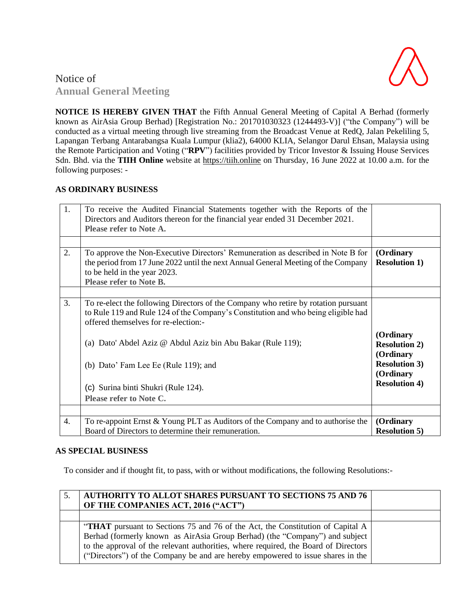

# Notice of **Annual General Meeting**

**NOTICE IS HEREBY GIVEN THAT** the Fifth Annual General Meeting of Capital A Berhad (formerly known as AirAsia Group Berhad) [Registration No.: 201701030323 (1244493-V)] ("the Company") will be conducted as a virtual meeting through live streaming from the Broadcast Venue at RedQ, Jalan Pekeliling 5, Lapangan Terbang Antarabangsa Kuala Lumpur (klia2), 64000 KLIA, Selangor Darul Ehsan, Malaysia using the Remote Participation and Voting ("**RPV**") facilities provided by Tricor Investor & Issuing House Services Sdn. Bhd. via the **TIIH Online** website at [https://tiih.online](https://tiih.online/) on Thursday, 16 June 2022 at 10.00 a.m. for the following purposes: -

## **AS ORDINARY BUSINESS**

| 1.               | To receive the Audited Financial Statements together with the Reports of the<br>Directors and Auditors thereon for the financial year ended 31 December 2021.<br>Please refer to Note A.                                               |                                                |
|------------------|----------------------------------------------------------------------------------------------------------------------------------------------------------------------------------------------------------------------------------------|------------------------------------------------|
|                  |                                                                                                                                                                                                                                        |                                                |
| 2.               | To approve the Non-Executive Directors' Remuneration as described in Note B for<br>the period from 17 June 2022 until the next Annual General Meeting of the Company<br>to be held in the year 2023.<br><b>Please refer to Note B.</b> | (Ordinary<br><b>Resolution 1)</b>              |
|                  |                                                                                                                                                                                                                                        |                                                |
| 3.               | To re-elect the following Directors of the Company who retire by rotation pursuant<br>to Rule 119 and Rule 124 of the Company's Constitution and who being eligible had<br>offered themselves for re-election:-                        |                                                |
|                  | (a) Dato' Abdel Aziz @ Abdul Aziz bin Abu Bakar (Rule 119);                                                                                                                                                                            | (Ordinary<br><b>Resolution 2)</b><br>(Ordinary |
|                  | (b) Dato' Fam Lee Ee (Rule 119); and                                                                                                                                                                                                   | <b>Resolution 3)</b><br>(Ordinary              |
|                  | (c) Surina binti Shukri (Rule 124).                                                                                                                                                                                                    | <b>Resolution 4)</b>                           |
|                  | Please refer to Note C.                                                                                                                                                                                                                |                                                |
|                  |                                                                                                                                                                                                                                        |                                                |
| $\overline{4}$ . | To re-appoint Ernst & Young PLT as Auditors of the Company and to authorise the<br>Board of Directors to determine their remuneration.                                                                                                 | (Ordinary<br><b>Resolution 5)</b>              |

### **AS SPECIAL BUSINESS**

To consider and if thought fit, to pass, with or without modifications, the following Resolutions:-

| <b>AUTHORITY TO ALLOT SHARES PURSUANT TO SECTIONS 75 AND 76</b><br>OF THE COMPANIES ACT, 2016 ("ACT")                                                                                                                                                                                                                                   |  |
|-----------------------------------------------------------------------------------------------------------------------------------------------------------------------------------------------------------------------------------------------------------------------------------------------------------------------------------------|--|
|                                                                                                                                                                                                                                                                                                                                         |  |
| "THAT pursuant to Sections 75 and 76 of the Act, the Constitution of Capital A<br>Berhad (formerly known as AirAsia Group Berhad) (the "Company") and subject<br>to the approval of the relevant authorities, where required, the Board of Directors<br>("Directors") of the Company be and are hereby empowered to issue shares in the |  |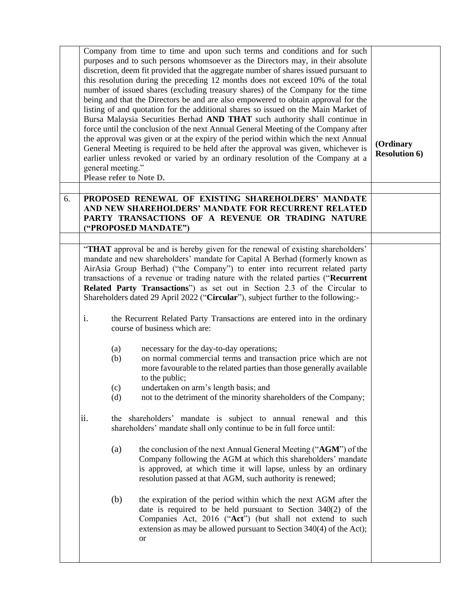|    | Company from time to time and upon such terms and conditions and for such<br>purposes and to such persons whomsoever as the Directors may, in their absolute<br>discretion, deem fit provided that the aggregate number of shares issued pursuant to<br>this resolution during the preceding 12 months does not exceed 10% of the total<br>number of issued shares (excluding treasury shares) of the Company for the time<br>being and that the Directors be and are also empowered to obtain approval for the<br>listing of and quotation for the additional shares so issued on the Main Market of<br>Bursa Malaysia Securities Berhad AND THAT such authority shall continue in<br>force until the conclusion of the next Annual General Meeting of the Company after<br>the approval was given or at the expiry of the period within which the next Annual<br>General Meeting is required to be held after the approval was given, whichever is<br>earlier unless revoked or varied by an ordinary resolution of the Company at a<br>general meeting."<br>Please refer to Note D. | (Ordinary<br><b>Resolution 6)</b> |                                                                                                                                                                                                                                                                                                                                                                                                                                                                                                       |  |
|----|----------------------------------------------------------------------------------------------------------------------------------------------------------------------------------------------------------------------------------------------------------------------------------------------------------------------------------------------------------------------------------------------------------------------------------------------------------------------------------------------------------------------------------------------------------------------------------------------------------------------------------------------------------------------------------------------------------------------------------------------------------------------------------------------------------------------------------------------------------------------------------------------------------------------------------------------------------------------------------------------------------------------------------------------------------------------------------------|-----------------------------------|-------------------------------------------------------------------------------------------------------------------------------------------------------------------------------------------------------------------------------------------------------------------------------------------------------------------------------------------------------------------------------------------------------------------------------------------------------------------------------------------------------|--|
| 6. |                                                                                                                                                                                                                                                                                                                                                                                                                                                                                                                                                                                                                                                                                                                                                                                                                                                                                                                                                                                                                                                                                        |                                   | PROPOSED RENEWAL OF EXISTING SHAREHOLDERS' MANDATE<br>AND NEW SHAREHOLDERS' MANDATE FOR RECURRENT RELATED<br>PARTY TRANSACTIONS OF A REVENUE OR TRADING NATURE<br>("PROPOSED MANDATE")                                                                                                                                                                                                                                                                                                                |  |
|    |                                                                                                                                                                                                                                                                                                                                                                                                                                                                                                                                                                                                                                                                                                                                                                                                                                                                                                                                                                                                                                                                                        |                                   |                                                                                                                                                                                                                                                                                                                                                                                                                                                                                                       |  |
|    |                                                                                                                                                                                                                                                                                                                                                                                                                                                                                                                                                                                                                                                                                                                                                                                                                                                                                                                                                                                                                                                                                        |                                   | "THAT approval be and is hereby given for the renewal of existing shareholders'<br>mandate and new shareholders' mandate for Capital A Berhad (formerly known as<br>AirAsia Group Berhad) ("the Company") to enter into recurrent related party<br>transactions of a revenue or trading nature with the related parties ("Recurrent<br>Related Party Transactions") as set out in Section 2.3 of the Circular to<br>Shareholders dated 29 April 2022 ("Circular"), subject further to the following:- |  |
|    | i.                                                                                                                                                                                                                                                                                                                                                                                                                                                                                                                                                                                                                                                                                                                                                                                                                                                                                                                                                                                                                                                                                     |                                   | the Recurrent Related Party Transactions are entered into in the ordinary<br>course of business which are:                                                                                                                                                                                                                                                                                                                                                                                            |  |
|    |                                                                                                                                                                                                                                                                                                                                                                                                                                                                                                                                                                                                                                                                                                                                                                                                                                                                                                                                                                                                                                                                                        | (a)<br>(b)                        | necessary for the day-to-day operations;<br>on normal commercial terms and transaction price which are not<br>more favourable to the related parties than those generally available<br>to the public;                                                                                                                                                                                                                                                                                                 |  |
|    |                                                                                                                                                                                                                                                                                                                                                                                                                                                                                                                                                                                                                                                                                                                                                                                                                                                                                                                                                                                                                                                                                        | (c)<br>(d)                        | undertaken on arm's length basis; and<br>not to the detriment of the minority shareholders of the Company;                                                                                                                                                                                                                                                                                                                                                                                            |  |
|    | ii.                                                                                                                                                                                                                                                                                                                                                                                                                                                                                                                                                                                                                                                                                                                                                                                                                                                                                                                                                                                                                                                                                    |                                   | the shareholders' mandate is subject to annual renewal and this<br>shareholders' mandate shall only continue to be in full force until:                                                                                                                                                                                                                                                                                                                                                               |  |
|    |                                                                                                                                                                                                                                                                                                                                                                                                                                                                                                                                                                                                                                                                                                                                                                                                                                                                                                                                                                                                                                                                                        | (a)                               | the conclusion of the next Annual General Meeting ("AGM") of the<br>Company following the AGM at which this shareholders' mandate<br>is approved, at which time it will lapse, unless by an ordinary<br>resolution passed at that AGM, such authority is renewed;                                                                                                                                                                                                                                     |  |
|    |                                                                                                                                                                                                                                                                                                                                                                                                                                                                                                                                                                                                                                                                                                                                                                                                                                                                                                                                                                                                                                                                                        | (b)                               | the expiration of the period within which the next AGM after the<br>date is required to be held pursuant to Section $340(2)$ of the<br>Companies Act, 2016 ("Act") (but shall not extend to such<br>extension as may be allowed pursuant to Section 340(4) of the Act);<br><sub>or</sub>                                                                                                                                                                                                              |  |
|    |                                                                                                                                                                                                                                                                                                                                                                                                                                                                                                                                                                                                                                                                                                                                                                                                                                                                                                                                                                                                                                                                                        |                                   |                                                                                                                                                                                                                                                                                                                                                                                                                                                                                                       |  |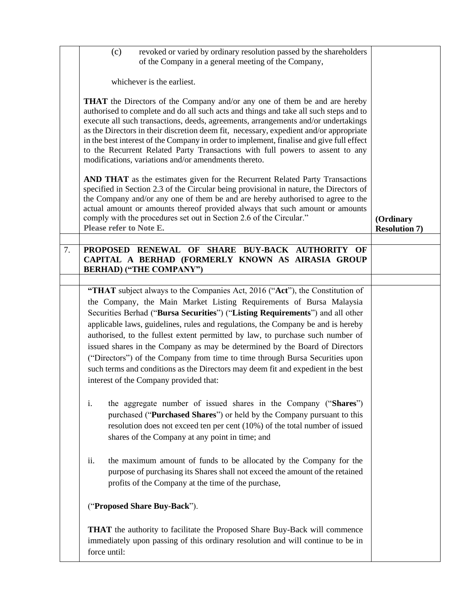|    | (c)<br>revoked or varied by ordinary resolution passed by the shareholders<br>of the Company in a general meeting of the Company,                                                                                                                                                                                                                                                                                                                                                                                                                                                                                                                                                                        |                                   |
|----|----------------------------------------------------------------------------------------------------------------------------------------------------------------------------------------------------------------------------------------------------------------------------------------------------------------------------------------------------------------------------------------------------------------------------------------------------------------------------------------------------------------------------------------------------------------------------------------------------------------------------------------------------------------------------------------------------------|-----------------------------------|
|    | whichever is the earliest.                                                                                                                                                                                                                                                                                                                                                                                                                                                                                                                                                                                                                                                                               |                                   |
|    | <b>THAT</b> the Directors of the Company and/or any one of them be and are hereby<br>authorised to complete and do all such acts and things and take all such steps and to<br>execute all such transactions, deeds, agreements, arrangements and/or undertakings<br>as the Directors in their discretion deem fit, necessary, expedient and/or appropriate<br>in the best interest of the Company in order to implement, finalise and give full effect<br>to the Recurrent Related Party Transactions with full powers to assent to any<br>modifications, variations and/or amendments thereto.                                                                                                          |                                   |
|    | AND THAT as the estimates given for the Recurrent Related Party Transactions<br>specified in Section 2.3 of the Circular being provisional in nature, the Directors of<br>the Company and/or any one of them be and are hereby authorised to agree to the<br>actual amount or amounts thereof provided always that such amount or amounts<br>comply with the procedures set out in Section 2.6 of the Circular."<br>Please refer to Note E.                                                                                                                                                                                                                                                              | (Ordinary<br><b>Resolution 7)</b> |
|    |                                                                                                                                                                                                                                                                                                                                                                                                                                                                                                                                                                                                                                                                                                          |                                   |
| 7. | PROPOSED RENEWAL OF SHARE BUY-BACK AUTHORITY OF<br>CAPITAL A BERHAD (FORMERLY KNOWN AS AIRASIA GROUP<br><b>BERHAD) ("THE COMPANY")</b>                                                                                                                                                                                                                                                                                                                                                                                                                                                                                                                                                                   |                                   |
|    |                                                                                                                                                                                                                                                                                                                                                                                                                                                                                                                                                                                                                                                                                                          |                                   |
|    | "THAT subject always to the Companies Act, 2016 ("Act"), the Constitution of<br>the Company, the Main Market Listing Requirements of Bursa Malaysia<br>Securities Berhad ("Bursa Securities") ("Listing Requirements") and all other<br>applicable laws, guidelines, rules and regulations, the Company be and is hereby<br>authorised, to the fullest extent permitted by law, to purchase such number of<br>issued shares in the Company as may be determined by the Board of Directors<br>("Directors") of the Company from time to time through Bursa Securities upon<br>such terms and conditions as the Directors may deem fit and expedient in the best<br>interest of the Company provided that: |                                   |
|    | the aggregate number of issued shares in the Company ("Shares")<br>i.<br>purchased ("Purchased Shares") or held by the Company pursuant to this<br>resolution does not exceed ten per cent (10%) of the total number of issued<br>shares of the Company at any point in time; and                                                                                                                                                                                                                                                                                                                                                                                                                        |                                   |
|    | the maximum amount of funds to be allocated by the Company for the<br>ii.<br>purpose of purchasing its Shares shall not exceed the amount of the retained<br>profits of the Company at the time of the purchase,                                                                                                                                                                                                                                                                                                                                                                                                                                                                                         |                                   |
|    | ("Proposed Share Buy-Back").                                                                                                                                                                                                                                                                                                                                                                                                                                                                                                                                                                                                                                                                             |                                   |
|    | <b>THAT</b> the authority to facilitate the Proposed Share Buy-Back will commence<br>immediately upon passing of this ordinary resolution and will continue to be in<br>force until:                                                                                                                                                                                                                                                                                                                                                                                                                                                                                                                     |                                   |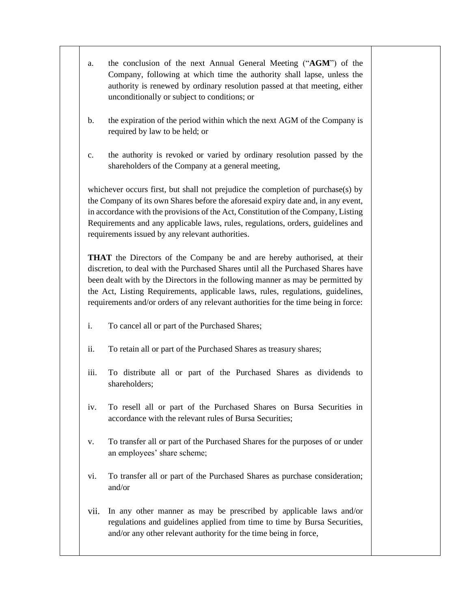- a. the conclusion of the next Annual General Meeting ("**AGM**") of the Company, following at which time the authority shall lapse, unless the authority is renewed by ordinary resolution passed at that meeting, either unconditionally or subject to conditions; or
- b. the expiration of the period within which the next AGM of the Company is required by law to be held; or
- c. the authority is revoked or varied by ordinary resolution passed by the shareholders of the Company at a general meeting,

whichever occurs first, but shall not prejudice the completion of purchase(s) by the Company of its own Shares before the aforesaid expiry date and, in any event, in accordance with the provisions of the Act, Constitution of the Company, Listing Requirements and any applicable laws, rules, regulations, orders, guidelines and requirements issued by any relevant authorities.

**THAT** the Directors of the Company be and are hereby authorised, at their discretion, to deal with the Purchased Shares until all the Purchased Shares have been dealt with by the Directors in the following manner as may be permitted by the Act, Listing Requirements, applicable laws, rules, regulations, guidelines, requirements and/or orders of any relevant authorities for the time being in force:

- i. To cancel all or part of the Purchased Shares;
- ii. To retain all or part of the Purchased Shares as treasury shares;
- iii. To distribute all or part of the Purchased Shares as dividends to shareholders;
- iv. To resell all or part of the Purchased Shares on Bursa Securities in accordance with the relevant rules of Bursa Securities;
- v. To transfer all or part of the Purchased Shares for the purposes of or under an employees' share scheme;
- vi. To transfer all or part of the Purchased Shares as purchase consideration; and/or
- vii. In any other manner as may be prescribed by applicable laws and/or regulations and guidelines applied from time to time by Bursa Securities, and/or any other relevant authority for the time being in force,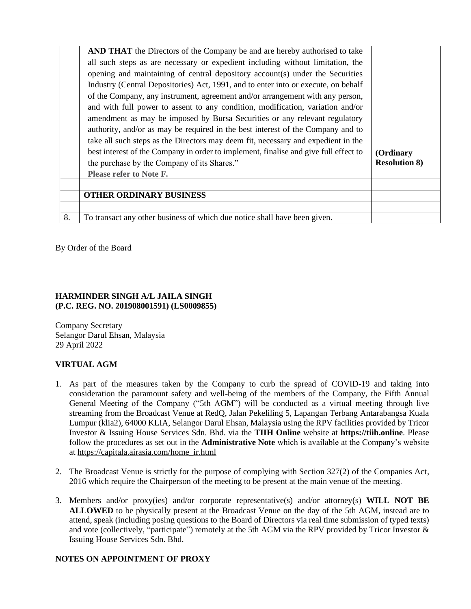|    | AND THAT the Directors of the Company be and are hereby authorised to take           |                      |
|----|--------------------------------------------------------------------------------------|----------------------|
|    | all such steps as are necessary or expedient including without limitation, the       |                      |
|    | opening and maintaining of central depository account(s) under the Securities        |                      |
|    | Industry (Central Depositories) Act, 1991, and to enter into or execute, on behalf   |                      |
|    | of the Company, any instrument, agreement and/or arrangement with any person,        |                      |
|    | and with full power to assent to any condition, modification, variation and/or       |                      |
|    | amendment as may be imposed by Bursa Securities or any relevant regulatory           |                      |
|    | authority, and/or as may be required in the best interest of the Company and to      |                      |
|    | take all such steps as the Directors may deem fit, necessary and expedient in the    |                      |
|    | best interest of the Company in order to implement, finalise and give full effect to | (Ordinary            |
|    | the purchase by the Company of its Shares."                                          | <b>Resolution 8)</b> |
|    | <b>Please refer to Note F.</b>                                                       |                      |
|    |                                                                                      |                      |
|    | <b>OTHER ORDINARY BUSINESS</b>                                                       |                      |
|    |                                                                                      |                      |
| 8. | To transact any other business of which due notice shall have been given.            |                      |

By Order of the Board

### **HARMINDER SINGH A/L JAILA SINGH (P.C. REG. NO. 201908001591) (LS0009855)**

Company Secretary Selangor Darul Ehsan, Malaysia 29 April 2022

### **VIRTUAL AGM**

- 1. As part of the measures taken by the Company to curb the spread of COVID-19 and taking into consideration the paramount safety and well-being of the members of the Company, the Fifth Annual General Meeting of the Company ("5th AGM") will be conducted as a virtual meeting through live streaming from the Broadcast Venue at RedQ, Jalan Pekeliling 5, Lapangan Terbang Antarabangsa Kuala Lumpur (klia2), 64000 KLIA, Selangor Darul Ehsan, Malaysia using the RPV facilities provided by Tricor Investor & Issuing House Services Sdn. Bhd. via the **TIIH Online** website at **https://tiih.online**. Please follow the procedures as set out in the **Administrative Note** which is available at the Company's website at [https://capitala.airasia.com/home\\_ir.html](https://capitala.airasia.com/home_ir.html)
- 2. The Broadcast Venue is strictly for the purpose of complying with Section 327(2) of the Companies Act, 2016 which require the Chairperson of the meeting to be present at the main venue of the meeting.
- 3. Members and/or proxy(ies) and/or corporate representative(s) and/or attorney(s) **WILL NOT BE ALLOWED** to be physically present at the Broadcast Venue on the day of the 5th AGM, instead are to attend, speak (including posing questions to the Board of Directors via real time submission of typed texts) and vote (collectively, "participate") remotely at the 5th AGM via the RPV provided by Tricor Investor & Issuing House Services Sdn. Bhd.

### **NOTES ON APPOINTMENT OF PROXY**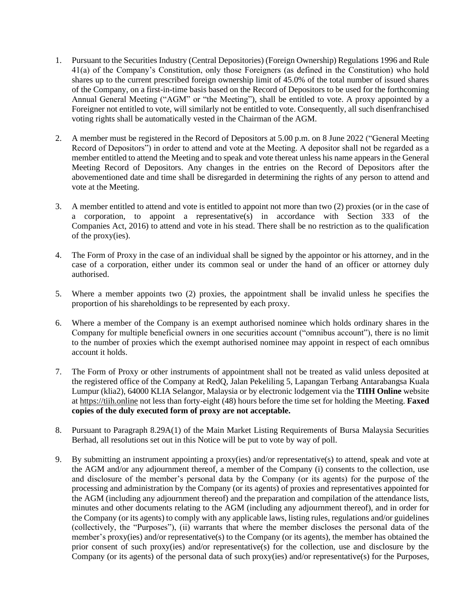- 1. Pursuant to the Securities Industry (Central Depositories) (Foreign Ownership) Regulations 1996 and Rule 41(a) of the Company's Constitution, only those Foreigners (as defined in the Constitution) who hold shares up to the current prescribed foreign ownership limit of 45.0% of the total number of issued shares of the Company, on a first-in-time basis based on the Record of Depositors to be used for the forthcoming Annual General Meeting ("AGM" or "the Meeting"), shall be entitled to vote. A proxy appointed by a Foreigner not entitled to vote, will similarly not be entitled to vote. Consequently, all such disenfranchised voting rights shall be automatically vested in the Chairman of the AGM.
- 2. A member must be registered in the Record of Depositors at 5.00 p.m. on 8 June 2022 ("General Meeting Record of Depositors") in order to attend and vote at the Meeting. A depositor shall not be regarded as a member entitled to attend the Meeting and to speak and vote thereat unless his name appears in the General Meeting Record of Depositors. Any changes in the entries on the Record of Depositors after the abovementioned date and time shall be disregarded in determining the rights of any person to attend and vote at the Meeting.
- 3. A member entitled to attend and vote is entitled to appoint not more than two (2) proxies (or in the case of a corporation, to appoint a representative(s) in accordance with Section 333 of the Companies Act, 2016) to attend and vote in his stead. There shall be no restriction as to the qualification of the proxy(ies).
- 4. The Form of Proxy in the case of an individual shall be signed by the appointor or his attorney, and in the case of a corporation, either under its common seal or under the hand of an officer or attorney duly authorised.
- 5. Where a member appoints two (2) proxies, the appointment shall be invalid unless he specifies the proportion of his shareholdings to be represented by each proxy.
- 6. Where a member of the Company is an exempt authorised nominee which holds ordinary shares in the Company for multiple beneficial owners in one securities account ("omnibus account"), there is no limit to the number of proxies which the exempt authorised nominee may appoint in respect of each omnibus account it holds.
- 7. The Form of Proxy or other instruments of appointment shall not be treated as valid unless deposited at the registered office of the Company at RedQ, Jalan Pekeliling 5, Lapangan Terbang Antarabangsa Kuala Lumpur (klia2), 64000 KLIA Selangor, Malaysia or by electronic lodgement via the **TIIH Online** website at [https://tiih.online](https://tiih.online/) not less than forty-eight (48) hours before the time set for holding the Meeting. **Faxed copies of the duly executed form of proxy are not acceptable.**
- 8. Pursuant to Paragraph 8.29A(1) of the Main Market Listing Requirements of Bursa Malaysia Securities Berhad, all resolutions set out in this Notice will be put to vote by way of poll.
- 9. By submitting an instrument appointing a proxy(ies) and/or representative(s) to attend, speak and vote at the AGM and/or any adjournment thereof, a member of the Company (i) consents to the collection, use and disclosure of the member's personal data by the Company (or its agents) for the purpose of the processing and administration by the Company (or its agents) of proxies and representatives appointed for the AGM (including any adjournment thereof) and the preparation and compilation of the attendance lists, minutes and other documents relating to the AGM (including any adjournment thereof), and in order for the Company (or its agents) to comply with any applicable laws, listing rules, regulations and/or guidelines (collectively, the "Purposes"), (ii) warrants that where the member discloses the personal data of the member's proxy(ies) and/or representative(s) to the Company (or its agents), the member has obtained the prior consent of such proxy(ies) and/or representative(s) for the collection, use and disclosure by the Company (or its agents) of the personal data of such proxy(ies) and/or representative(s) for the Purposes,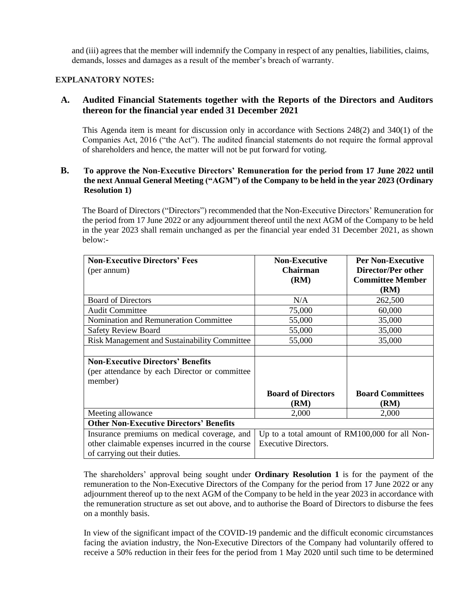and (iii) agrees that the member will indemnify the Company in respect of any penalties, liabilities, claims, demands, losses and damages as a result of the member's breach of warranty.

### **EXPLANATORY NOTES:**

### **A. Audited Financial Statements together with the Reports of the Directors and Auditors thereon for the financial year ended 31 December 2021**

This Agenda item is meant for discussion only in accordance with Sections 248(2) and 340(1) of the Companies Act, 2016 ("the Act"). The audited financial statements do not require the formal approval of shareholders and hence, the matter will not be put forward for voting.

### **B. To approve the Non-Executive Directors' Remuneration for the period from 17 June 2022 until the next Annual General Meeting ("AGM") of the Company to be held in the year 2023 (Ordinary Resolution 1)**

The Board of Directors ("Directors") recommended that the Non-Executive Directors' Remuneration for the period from 17 June 2022 or any adjournment thereof until the next AGM of the Company to be held in the year 2023 shall remain unchanged as per the financial year ended 31 December 2021, as shown below:-

| <b>Non-Executive Directors' Fees</b>            | <b>Non-Executive</b>                           | <b>Per Non-Executive</b>  |
|-------------------------------------------------|------------------------------------------------|---------------------------|
| (per annum)                                     | <b>Chairman</b>                                | <b>Director/Per other</b> |
|                                                 | (RM)                                           | <b>Committee Member</b>   |
|                                                 |                                                | (RM)                      |
| <b>Board of Directors</b>                       | N/A                                            | 262,500                   |
| <b>Audit Committee</b>                          | 75,000                                         | 60,000                    |
| Nomination and Remuneration Committee           | 55,000                                         | 35,000                    |
| <b>Safety Review Board</b>                      | 55,000                                         | 35,000                    |
| Risk Management and Sustainability Committee    | 55,000                                         | 35,000                    |
|                                                 |                                                |                           |
| <b>Non-Executive Directors' Benefits</b>        |                                                |                           |
| (per attendance by each Director or committee)  |                                                |                           |
| member)                                         |                                                |                           |
|                                                 | <b>Board of Directors</b>                      | <b>Board Committees</b>   |
|                                                 | (RM)                                           | (RM)                      |
| Meeting allowance                               | 2,000                                          | 2,000                     |
| <b>Other Non-Executive Directors' Benefits</b>  |                                                |                           |
| Insurance premiums on medical coverage, and     | Up to a total amount of RM100,000 for all Non- |                           |
| other claimable expenses incurred in the course | Executive Directors.                           |                           |
| of carrying out their duties.                   |                                                |                           |

The shareholders' approval being sought under **Ordinary Resolution 1** is for the payment of the remuneration to the Non-Executive Directors of the Company for the period from 17 June 2022 or any adjournment thereof up to the next AGM of the Company to be held in the year 2023 in accordance with the remuneration structure as set out above, and to authorise the Board of Directors to disburse the fees on a monthly basis.

In view of the significant impact of the COVID-19 pandemic and the difficult economic circumstances facing the aviation industry, the Non-Executive Directors of the Company had voluntarily offered to receive a 50% reduction in their fees for the period from 1 May 2020 until such time to be determined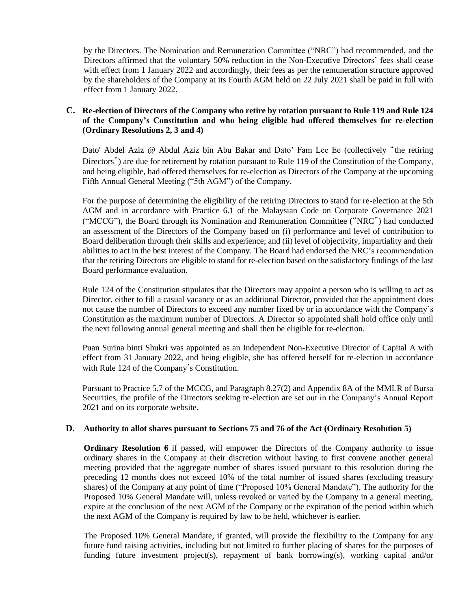by the Directors. The Nomination and Remuneration Committee ("NRC") had recommended, and the Directors affirmed that the voluntary 50% reduction in the Non-Executive Directors' fees shall cease with effect from 1 January 2022 and accordingly, their fees as per the remuneration structure approved by the shareholders of the Company at its Fourth AGM held on 22 July 2021 shall be paid in full with effect from 1 January 2022.

### **C. Re-election of Directors of the Company who retire by rotation pursuant to Rule 119 and Rule 124 of the Company's Constitution and who being eligible had offered themselves for re-election (Ordinary Resolutions 2, 3 and 4)**

Dato' Abdel Aziz @ Abdul Aziz bin Abu Bakar and Dato' Fam Lee Ee (collectively "the retiring Directors") are due for retirement by rotation pursuant to Rule 119 of the Constitution of the Company, and being eligible, had offered themselves for re-election as Directors of the Company at the upcoming Fifth Annual General Meeting ("5th AGM") of the Company.

For the purpose of determining the eligibility of the retiring Directors to stand for re-election at the 5th AGM and in accordance with Practice 6.1 of the Malaysian Code on Corporate Governance 2021 ("MCCG"), the Board through its Nomination and Remuneration Committee ("NRC") had conducted an assessment of the Directors of the Company based on (i) performance and level of contribution to Board deliberation through their skills and experience; and (ii) level of objectivity, impartiality and their abilities to act in the best interest of the Company. The Board had endorsed the NRC's recommendation that the retiring Directors are eligible to stand for re-election based on the satisfactory findings of the last Board performance evaluation.

Rule 124 of the Constitution stipulates that the Directors may appoint a person who is willing to act as Director, either to fill a casual vacancy or as an additional Director, provided that the appointment does not cause the number of Directors to exceed any number fixed by or in accordance with the Company's Constitution as the maximum number of Directors. A Director so appointed shall hold office only until the next following annual general meeting and shall then be eligible for re-election.

Puan Surina binti Shukri was appointed as an Independent Non-Executive Director of Capital A with effect from 31 January 2022, and being eligible, she has offered herself for re-election in accordance with Rule 124 of the Company's Constitution.

Pursuant to Practice 5.7 of the MCCG, and Paragraph 8.27(2) and Appendix 8A of the MMLR of Bursa Securities, the profile of the Directors seeking re-election are set out in the Company's Annual Report 2021 and on its corporate website.

### **D. Authority to allot shares pursuant to Sections 75 and 76 of the Act (Ordinary Resolution 5)**

**Ordinary Resolution 6** if passed, will empower the Directors of the Company authority to issue ordinary shares in the Company at their discretion without having to first convene another general meeting provided that the aggregate number of shares issued pursuant to this resolution during the preceding 12 months does not exceed 10% of the total number of issued shares (excluding treasury shares) of the Company at any point of time ("Proposed 10% General Mandate"). The authority for the Proposed 10% General Mandate will, unless revoked or varied by the Company in a general meeting, expire at the conclusion of the next AGM of the Company or the expiration of the period within which the next AGM of the Company is required by law to be held, whichever is earlier.

The Proposed 10% General Mandate, if granted, will provide the flexibility to the Company for any future fund raising activities, including but not limited to further placing of shares for the purposes of funding future investment project(s), repayment of bank borrowing(s), working capital and/or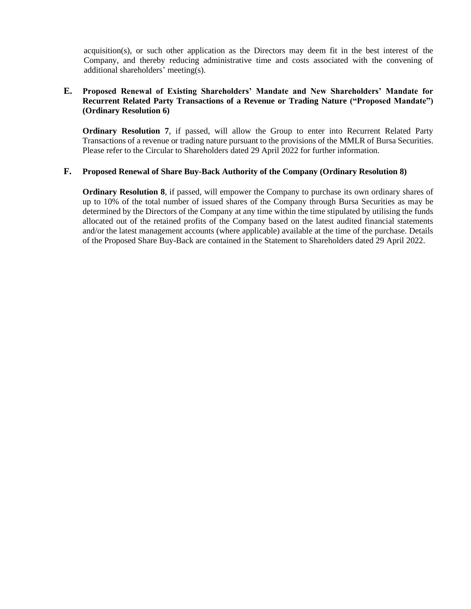acquisition(s), or such other application as the Directors may deem fit in the best interest of the Company, and thereby reducing administrative time and costs associated with the convening of additional shareholders' meeting(s).

### **E. Proposed Renewal of Existing Shareholders' Mandate and New Shareholders' Mandate for Recurrent Related Party Transactions of a Revenue or Trading Nature ("Proposed Mandate") (Ordinary Resolution 6)**

**Ordinary Resolution 7**, if passed, will allow the Group to enter into Recurrent Related Party Transactions of a revenue or trading nature pursuant to the provisions of the MMLR of Bursa Securities. Please refer to the Circular to Shareholders dated 29 April 2022 for further information.

### **F. Proposed Renewal of Share Buy-Back Authority of the Company (Ordinary Resolution 8)**

**Ordinary Resolution 8**, if passed, will empower the Company to purchase its own ordinary shares of up to 10% of the total number of issued shares of the Company through Bursa Securities as may be determined by the Directors of the Company at any time within the time stipulated by utilising the funds allocated out of the retained profits of the Company based on the latest audited financial statements and/or the latest management accounts (where applicable) available at the time of the purchase. Details of the Proposed Share Buy-Back are contained in the Statement to Shareholders dated 29 April 2022.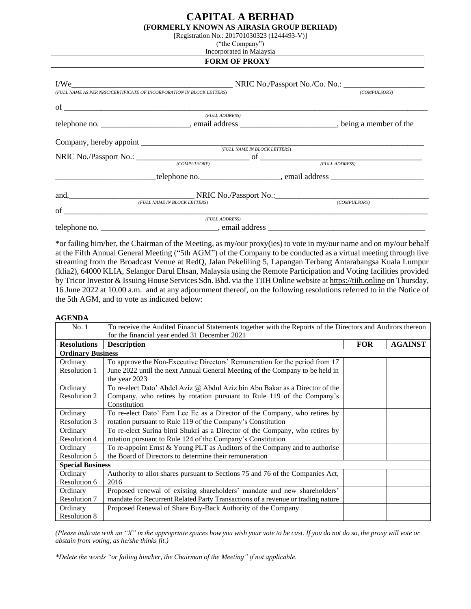## **CAPITAL A BERHAD**

| (FORMERLY KNOWN AS AIRASIA GROUP BERHAD) |  |  |  |                                                                                                                                                                                                                                                                                                                                    |  |
|------------------------------------------|--|--|--|------------------------------------------------------------------------------------------------------------------------------------------------------------------------------------------------------------------------------------------------------------------------------------------------------------------------------------|--|
|                                          |  |  |  | $\mathbf{A}$ $\mathbf{A}$ $\mathbf{A}$ $\mathbf{A}$ $\mathbf{A}$ $\mathbf{A}$ $\mathbf{A}$ $\mathbf{A}$ $\mathbf{A}$ $\mathbf{A}$ $\mathbf{A}$ $\mathbf{A}$ $\mathbf{A}$ $\mathbf{A}$ $\mathbf{A}$ $\mathbf{A}$ $\mathbf{A}$ $\mathbf{A}$ $\mathbf{A}$ $\mathbf{A}$ $\mathbf{A}$ $\mathbf{A}$ $\mathbf{A}$ $\mathbf{A}$ $\mathbf{$ |  |

[Registration No.: 201701030323 (1244493-V)]

("the Company")

Incorporated in Malaysia

**FORM OF PROXY**

|    | (FULL NAME AS PER NRIC/CERTIFICATE OF INCORPORATION IN BLOCK LETTERS) | (COMPULSORY)                                                                                                                                                                                                                  |
|----|-----------------------------------------------------------------------|-------------------------------------------------------------------------------------------------------------------------------------------------------------------------------------------------------------------------------|
|    |                                                                       |                                                                                                                                                                                                                               |
|    | (FULL ADDRESS)                                                        |                                                                                                                                                                                                                               |
|    |                                                                       |                                                                                                                                                                                                                               |
|    |                                                                       |                                                                                                                                                                                                                               |
|    | (FULL NAME IN BLOCK LETTERS)                                          |                                                                                                                                                                                                                               |
|    |                                                                       |                                                                                                                                                                                                                               |
|    | (COMPULSORY)                                                          | (FULL ADDRESS)                                                                                                                                                                                                                |
|    |                                                                       | example the example of the example of the example of the example of the example of the example of the example of the example of the example of the example of the example of the example of the example of the example of the |
|    |                                                                       |                                                                                                                                                                                                                               |
|    | (FULL NAME IN BLOCK LETTERS)                                          | (COMPULSORY)                                                                                                                                                                                                                  |
| of |                                                                       |                                                                                                                                                                                                                               |
|    | (FULL ADDRESS)                                                        |                                                                                                                                                                                                                               |
|    |                                                                       |                                                                                                                                                                                                                               |

\*or failing him/her, the Chairman of the Meeting, as my/our proxy(ies) to vote in my/our name and on my/our behalf at the Fifth Annual General Meeting ("5th AGM") of the Company to be conducted as a virtual meeting through live streaming from the Broadcast Venue at RedQ, Jalan Pekeliling 5, Lapangan Terbang Antarabangsa Kuala Lumpur (klia2), 64000 KLIA, Selangor Darul Ehsan, Malaysia using the Remote Participation and Voting facilities provided by Tricor Investor & Issuing House Services Sdn. Bhd. via the TIIH Online website a[t https://tiih.online](https://tiih.online/) on Thursday, 16 June 2022 at 10.00 a.m. and at any adjournment thereof, on the following resolutions referred to in the Notice of the 5th AGM, and to vote as indicated below:

#### **AGENDA**

| No. 1                   | To receive the Audited Financial Statements together with the Reports of the Directors and Auditors thereon |            |                |  |  |
|-------------------------|-------------------------------------------------------------------------------------------------------------|------------|----------------|--|--|
|                         | for the financial year ended 31 December 2021                                                               |            |                |  |  |
| <b>Resolutions</b>      | <b>Description</b>                                                                                          | <b>FOR</b> | <b>AGAINST</b> |  |  |
|                         | <b>Ordinary Business</b>                                                                                    |            |                |  |  |
| Ordinary                | To approve the Non-Executive Directors' Remuneration for the period from 17                                 |            |                |  |  |
| Resolution 1            | June 2022 until the next Annual General Meeting of the Company to be held in<br>the year 2023               |            |                |  |  |
| Ordinary                | To re-elect Dato' Abdel Aziz $\omega$ Abdul Aziz bin Abu Bakar as a Director of the                         |            |                |  |  |
| Resolution 2            | Company, who retires by rotation pursuant to Rule 119 of the Company's<br>Constitution                      |            |                |  |  |
| Ordinary                | To re-elect Dato' Fam Lee Ee as a Director of the Company, who retires by                                   |            |                |  |  |
| Resolution 3            | rotation pursuant to Rule 119 of the Company's Constitution                                                 |            |                |  |  |
| Ordinary                | To re-elect Surina binti Shukri as a Director of the Company, who retires by                                |            |                |  |  |
| Resolution 4            | rotation pursuant to Rule 124 of the Company's Constitution                                                 |            |                |  |  |
| Ordinary                | To re-appoint Ernst & Young PLT as Auditors of the Company and to authorise                                 |            |                |  |  |
| Resolution 5            | the Board of Directors to determine their remuneration                                                      |            |                |  |  |
| <b>Special Business</b> |                                                                                                             |            |                |  |  |
| Ordinary                | Authority to allot shares pursuant to Sections 75 and 76 of the Companies Act,                              |            |                |  |  |
| Resolution 6            | 2016                                                                                                        |            |                |  |  |
| Ordinary                | Proposed renewal of existing shareholders' mandate and new shareholders'                                    |            |                |  |  |
| Resolution 7            | mandate for Recurrent Related Party Transactions of a revenue or trading nature                             |            |                |  |  |
| Ordinary                | Proposed Renewal of Share Buy-Back Authority of the Company                                                 |            |                |  |  |
| <b>Resolution 8</b>     |                                                                                                             |            |                |  |  |

*(Please indicate with an "X" in the appropriate spaces how you wish your vote to be cast. If you do not do so, the proxy will vote or abstain from voting, as he/she thinks fit.)*

*\*Delete the words "or failing him/her, the Chairman of the Meeting" if not applicable.*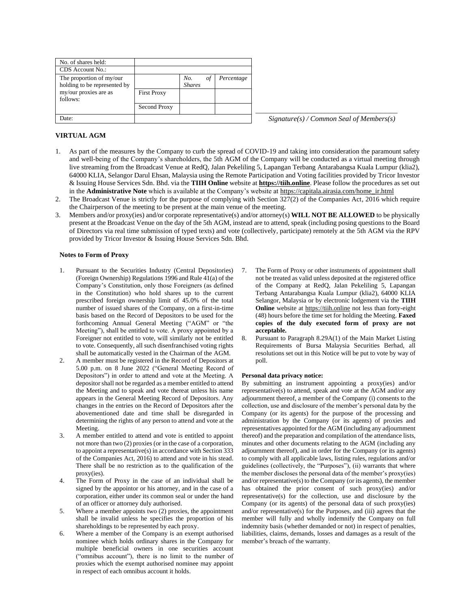| No. of shares held:                                      |                    |                            |            |
|----------------------------------------------------------|--------------------|----------------------------|------------|
| CDS Account No.:                                         |                    |                            |            |
| The proportion of my/our<br>holding to be represented by |                    | No.<br>οt<br><b>Shares</b> | Percentage |
| my/our proxies are as<br>follows:                        | <b>First Proxy</b> |                            |            |
|                                                          | Second Proxy       |                            |            |
| )ate:                                                    |                    |                            |            |

*\_\_\_\_\_\_\_\_\_\_\_\_\_\_\_\_\_\_\_\_\_\_\_\_\_\_\_\_\_\_\_\_\_\_\_\_\_\_\_\_\_*  $Signature(s)$  / *Common Seal of Members(s)* 

#### **VIRTUAL AGM**

- 1. As part of the measures by the Company to curb the spread of COVID-19 and taking into consideration the paramount safety and well-being of the Company's shareholders, the 5th AGM of the Company will be conducted as a virtual meeting through live streaming from the Broadcast Venue at RedQ, Jalan Pekeliling 5, Lapangan Terbang Antarabangsa Kuala Lumpur (klia2), 64000 KLIA, Selangor Darul Ehsan, Malaysia using the Remote Participation and Voting facilities provided by Tricor Investor & Issuing House Services Sdn. Bhd. via the **TIIH Online** website at **[https://tiih.online](https://tiih.online/)**. Please follow the procedures as set out in the **Administrative Note** which is available at the Company's website a[t https://capitala.airasia.com/home\\_ir.html](https://capitala.airasia.com/home_ir.html)
- 2. The Broadcast Venue is strictly for the purpose of complying with Section 327(2) of the Companies Act, 2016 which require the Chairperson of the meeting to be present at the main venue of the meeting.
- 3. Members and/or proxy(ies) and/or corporate representative(s) and/or attorney(s) **WILL NOT BE ALLOWED** to be physically present at the Broadcast Venue on the day of the 5th AGM, instead are to attend, speak (including posing questions to the Board of Directors via real time submission of typed texts) and vote (collectively, participate) remotely at the 5th AGM via the RPV provided by Tricor Investor & Issuing House Services Sdn. Bhd.

#### **Notes to Form of Proxy**

- 1. Pursuant to the Securities Industry (Central Depositories) (Foreign Ownership) Regulations 1996 and Rule 41(a) of the Company's Constitution, only those Foreigners (as defined in the Constitution) who hold shares up to the current prescribed foreign ownership limit of 45.0% of the total number of issued shares of the Company, on a first-in-time basis based on the Record of Depositors to be used for the forthcoming Annual General Meeting ("AGM" or "the Meeting"), shall be entitled to vote. A proxy appointed by a Foreigner not entitled to vote, will similarly not be entitled to vote. Consequently, all such disenfranchised voting rights shall be automatically vested in the Chairman of the AGM.
- 2. A member must be registered in the Record of Depositors at 5.00 p.m. on 8 June 2022 ("General Meeting Record of Depositors") in order to attend and vote at the Meeting. A depositor shall not be regarded as a member entitled to attend the Meeting and to speak and vote thereat unless his name appears in the General Meeting Record of Depositors. Any changes in the entries on the Record of Depositors after the abovementioned date and time shall be disregarded in determining the rights of any person to attend and vote at the Meeting.
- 3. A member entitled to attend and vote is entitled to appoint not more than two (2) proxies (or in the case of a corporation, to appoint a representative(s) in accordance with Section 333 of the Companies Act, 2016) to attend and vote in his stead. There shall be no restriction as to the qualification of the proxy(ies).
- 4. The Form of Proxy in the case of an individual shall be signed by the appointor or his attorney, and in the case of a corporation, either under its common seal or under the hand of an officer or attorney duly authorised.
- 5. Where a member appoints two (2) proxies, the appointment shall be invalid unless he specifies the proportion of his shareholdings to be represented by each proxy.
- 6. Where a member of the Company is an exempt authorised nominee which holds ordinary shares in the Company for multiple beneficial owners in one securities account ("omnibus account"), there is no limit to the number of proxies which the exempt authorised nominee may appoint in respect of each omnibus account it holds.
- 7. The Form of Proxy or other instruments of appointment shall not be treated as valid unless deposited at the registered office of the Company at RedQ, Jalan Pekeliling 5, Lapangan Terbang Antarabangsa Kuala Lumpur (klia2), 64000 KLIA Selangor, Malaysia or by electronic lodgement via the **TIIH Online** website at [https://tiih.online](https://tiih.online/) not less than forty-eight (48) hours before the time set for holding the Meeting. **Faxed copies of the duly executed form of proxy are not acceptable.**
- 8. Pursuant to Paragraph 8.29A(1) of the Main Market Listing Requirements of Bursa Malaysia Securities Berhad, all resolutions set out in this Notice will be put to vote by way of poll.

#### **Personal data privacy notice:**

By submitting an instrument appointing a proxy(ies) and/or representative(s) to attend, speak and vote at the AGM and/or any adjournment thereof, a member of the Company (i) consents to the collection, use and disclosure of the member's personal data by the Company (or its agents) for the purpose of the processing and administration by the Company (or its agents) of proxies and representatives appointed for the AGM (including any adjournment thereof) and the preparation and compilation of the attendance lists, minutes and other documents relating to the AGM (including any adjournment thereof), and in order for the Company (or its agents) to comply with all applicable laws, listing rules, regulations and/or guidelines (collectively, the "Purposes"), (ii) warrants that where the member discloses the personal data of the member's proxy(ies) and/or representative(s) to the Company (or its agents), the member has obtained the prior consent of such proxy(ies) and/or representative(s) for the collection, use and disclosure by the Company (or its agents) of the personal data of such proxy(ies) and/or representative(s) for the Purposes, and (iii) agrees that the member will fully and wholly indemnify the Company on full indemnity basis (whether demanded or not) in respect of penalties, liabilities, claims, demands, losses and damages as a result of the member's breach of the warranty.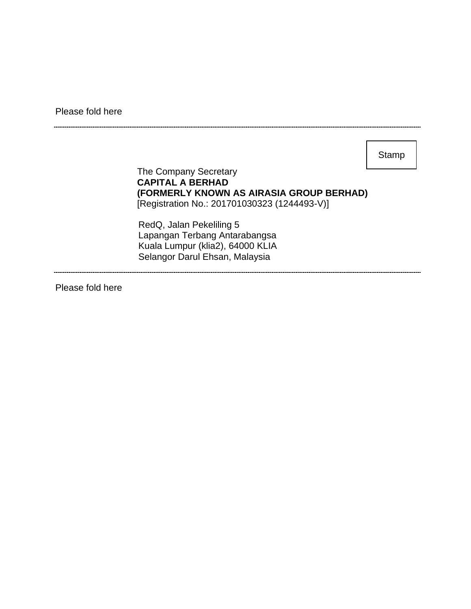Please fold here

**Stamp** 

The Company Secretary **CAPITAL A BERHAD (FORMERLY KNOWN AS AIRASIA GROUP BERHAD)** [Registration No.: 201701030323 (1244493-V)]

RedQ, Jalan Pekeliling 5 Lapangan Terbang Antarabangsa Kuala Lumpur (klia2), 64000 KLIA Selangor Darul Ehsan, Malaysia

Please fold here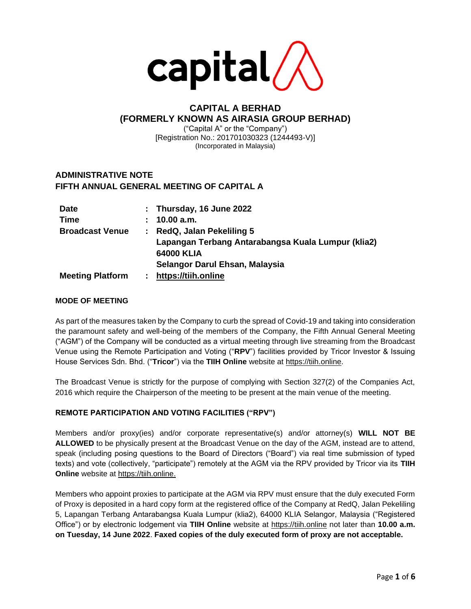

## **CAPITAL A BERHAD (FORMERLY KNOWN AS AIRASIA GROUP BERHAD)**

("Capital A" or the "Company") [Registration No.: 201701030323 (1244493-V)] (Incorporated in Malaysia)

## **ADMINISTRATIVE NOTE FIFTH ANNUAL GENERAL MEETING OF CAPITAL A**

| <b>Date</b>             |    | : Thursday, 16 June 2022                           |
|-------------------------|----|----------------------------------------------------|
| <b>Time</b>             | ÷. | 10.00 a.m.                                         |
| <b>Broadcast Venue</b>  | ÷. | RedQ, Jalan Pekeliling 5                           |
|                         |    | Lapangan Terbang Antarabangsa Kuala Lumpur (klia2) |
|                         |    | 64000 KLIA                                         |
|                         |    | Selangor Darul Ehsan, Malaysia                     |
| <b>Meeting Platform</b> |    | https://tiih.online                                |

### **MODE OF MEETING**

As part of the measures taken by the Company to curb the spread of Covid-19 and taking into consideration the paramount safety and well-being of the members of the Company, the Fifth Annual General Meeting ("AGM") of the Company will be conducted as a virtual meeting through live streaming from the Broadcast Venue using the Remote Participation and Voting ("**RPV**") facilities provided by Tricor Investor & Issuing House Services Sdn. Bhd. ("**Tricor**") via the **TIIH Online** website at [https://tiih.online.](https://tiih.online/)

The Broadcast Venue is strictly for the purpose of complying with Section 327(2) of the Companies Act, 2016 which require the Chairperson of the meeting to be present at the main venue of the meeting.

### **REMOTE PARTICIPATION AND VOTING FACILITIES ("RPV")**

Members and/or proxy(ies) and/or corporate representative(s) and/or attorney(s) **WILL NOT BE ALLOWED** to be physically present at the Broadcast Venue on the day of the AGM, instead are to attend, speak (including posing questions to the Board of Directors ("Board") via real time submission of typed texts) and vote (collectively, "participate") remotely at the AGM via the RPV provided by Tricor via its **TIIH Online** website at [https://tiih.online.](https://tiih.online/)

Members who appoint proxies to participate at the AGM via RPV must ensure that the duly executed Form of Proxy is deposited in a hard copy form at the registered office of the Company at RedQ, Jalan Pekeliling 5, Lapangan Terbang Antarabangsa Kuala Lumpur (klia2), 64000 KLIA Selangor, Malaysia ("Registered Office") or by electronic lodgement via **TIIH Online** website at [https://tiih.online](https://tiih.online/) not later than **10.00 a.m. on Tuesday, 14 June 2022**. **Faxed copies of the duly executed form of proxy are not acceptable.**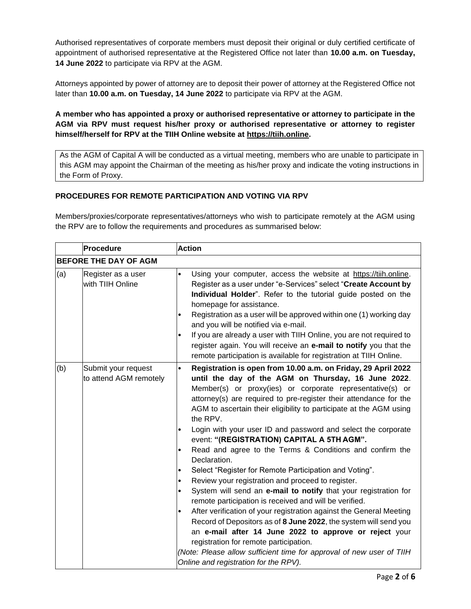Authorised representatives of corporate members must deposit their original or duly certified certificate of appointment of authorised representative at the Registered Office not later than **10.00 a.m. on Tuesday, 14 June 2022** to participate via RPV at the AGM.

Attorneys appointed by power of attorney are to deposit their power of attorney at the Registered Office not later than **10.00 a.m. on Tuesday, 14 June 2022** to participate via RPV at the AGM.

### **A member who has appointed a proxy or authorised representative or attorney to participate in the AGM via RPV must request his/her proxy or authorised representative or attorney to register himself/herself for RPV at the TIIH Online website at [https://tiih.online.](https://tiih.online/)**

As the AGM of Capital A will be conducted as a virtual meeting, members who are unable to participate in this AGM may appoint the Chairman of the meeting as his/her proxy and indicate the voting instructions in the Form of Proxy.

### **PROCEDURES FOR REMOTE PARTICIPATION AND VOTING VIA RPV**

Members/proxies/corporate representatives/attorneys who wish to participate remotely at the AGM using the RPV are to follow the requirements and procedures as summarised below:

|     | Procedure                                     | <b>Action</b>                                                                                                                                                                                                                                                                                                                                                                                                                                                                                                                                                                                                                                                                                                                                                                                                                                                                                                                                                                                                                                                                                                                                                                                                                      |
|-----|-----------------------------------------------|------------------------------------------------------------------------------------------------------------------------------------------------------------------------------------------------------------------------------------------------------------------------------------------------------------------------------------------------------------------------------------------------------------------------------------------------------------------------------------------------------------------------------------------------------------------------------------------------------------------------------------------------------------------------------------------------------------------------------------------------------------------------------------------------------------------------------------------------------------------------------------------------------------------------------------------------------------------------------------------------------------------------------------------------------------------------------------------------------------------------------------------------------------------------------------------------------------------------------------|
|     | <b>BEFORE THE DAY OF AGM</b>                  |                                                                                                                                                                                                                                                                                                                                                                                                                                                                                                                                                                                                                                                                                                                                                                                                                                                                                                                                                                                                                                                                                                                                                                                                                                    |
| (a) | Register as a user<br>with TIIH Online        | Using your computer, access the website at https://tiih.online.<br>$\bullet$<br>Register as a user under "e-Services" select "Create Account by<br>Individual Holder". Refer to the tutorial guide posted on the<br>homepage for assistance.<br>Registration as a user will be approved within one (1) working day<br>$\bullet$<br>and you will be notified via e-mail.<br>If you are already a user with TIIH Online, you are not required to<br>$\bullet$<br>register again. You will receive an e-mail to notify you that the<br>remote participation is available for registration at TIIH Online.                                                                                                                                                                                                                                                                                                                                                                                                                                                                                                                                                                                                                             |
| (b) | Submit your request<br>to attend AGM remotely | Registration is open from 10.00 a.m. on Friday, 29 April 2022<br>$\bullet$<br>until the day of the AGM on Thursday, 16 June 2022.<br>Member(s) or proxy(ies) or corporate representative(s) or<br>attorney(s) are required to pre-register their attendance for the<br>AGM to ascertain their eligibility to participate at the AGM using<br>the RPV.<br>Login with your user ID and password and select the corporate<br>$\bullet$<br>event: "(REGISTRATION) CAPITAL A 5TH AGM".<br>Read and agree to the Terms & Conditions and confirm the<br>$\bullet$<br>Declaration.<br>Select "Register for Remote Participation and Voting".<br>٠<br>Review your registration and proceed to register.<br>$\bullet$<br>System will send an e-mail to notify that your registration for<br>$\bullet$<br>remote participation is received and will be verified.<br>After verification of your registration against the General Meeting<br>$\bullet$<br>Record of Depositors as of 8 June 2022, the system will send you<br>an e-mail after 14 June 2022 to approve or reject your<br>registration for remote participation.<br>(Note: Please allow sufficient time for approval of new user of TIIH<br>Online and registration for the RPV). |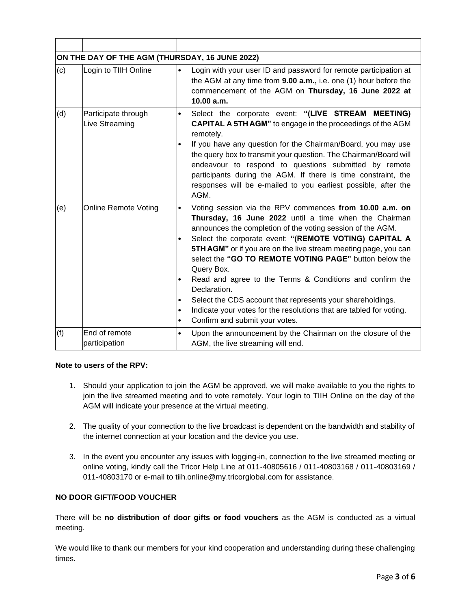|     | ON THE DAY OF THE AGM (THURSDAY, 16 JUNE 2022) |                                                                            |                                                                                                                                                                                                                                                                                                                                                                                                                                                                                                                                                                                                                                        |  |  |
|-----|------------------------------------------------|----------------------------------------------------------------------------|----------------------------------------------------------------------------------------------------------------------------------------------------------------------------------------------------------------------------------------------------------------------------------------------------------------------------------------------------------------------------------------------------------------------------------------------------------------------------------------------------------------------------------------------------------------------------------------------------------------------------------------|--|--|
| (c) | Login to TIIH Online                           | $\bullet$                                                                  | Login with your user ID and password for remote participation at<br>the AGM at any time from 9.00 a.m., i.e. one (1) hour before the<br>commencement of the AGM on Thursday, 16 June 2022 at<br>10.00 a.m.                                                                                                                                                                                                                                                                                                                                                                                                                             |  |  |
| (d) | Participate through<br>Live Streaming          | $\bullet$<br>$\bullet$                                                     | Select the corporate event: "(LIVE STREAM MEETING)<br><b>CAPITAL A 5TH AGM</b> " to engage in the proceedings of the AGM<br>remotely.<br>If you have any question for the Chairman/Board, you may use<br>the query box to transmit your question. The Chairman/Board will<br>endeavour to respond to questions submitted by remote<br>participants during the AGM. If there is time constraint, the<br>responses will be e-mailed to you earliest possible, after the<br>AGM.                                                                                                                                                          |  |  |
| (e) | <b>Online Remote Voting</b>                    | $\bullet$<br>$\bullet$<br>$\bullet$<br>$\bullet$<br>$\bullet$<br>$\bullet$ | Voting session via the RPV commences from 10.00 a.m. on<br>Thursday, 16 June 2022 until a time when the Chairman<br>announces the completion of the voting session of the AGM.<br>Select the corporate event: "(REMOTE VOTING) CAPITAL A<br>5TH AGM" or if you are on the live stream meeting page, you can<br>select the "GO TO REMOTE VOTING PAGE" button below the<br>Query Box.<br>Read and agree to the Terms & Conditions and confirm the<br>Declaration.<br>Select the CDS account that represents your shareholdings.<br>Indicate your votes for the resolutions that are tabled for voting.<br>Confirm and submit your votes. |  |  |
| (f) | End of remote<br>participation                 | $\bullet$                                                                  | Upon the announcement by the Chairman on the closure of the<br>AGM, the live streaming will end.                                                                                                                                                                                                                                                                                                                                                                                                                                                                                                                                       |  |  |

### **Note to users of the RPV:**

- 1. Should your application to join the AGM be approved, we will make available to you the rights to join the live streamed meeting and to vote remotely. Your login to TIIH Online on the day of the AGM will indicate your presence at the virtual meeting.
- 2. The quality of your connection to the live broadcast is dependent on the bandwidth and stability of the internet connection at your location and the device you use.
- 3. In the event you encounter any issues with logging-in, connection to the live streamed meeting or online voting, kindly call the Tricor Help Line at 011-40805616 / 011-40803168 / 011-40803169 / 011-40803170 or e-mail to [tiih.online@my.tricorglobal.com](mailto:tiih.online@my.tricorglobal.com) for assistance.

### **NO DOOR GIFT/FOOD VOUCHER**

There will be **no distribution of door gifts or food vouchers** as the AGM is conducted as a virtual meeting.

We would like to thank our members for your kind cooperation and understanding during these challenging times.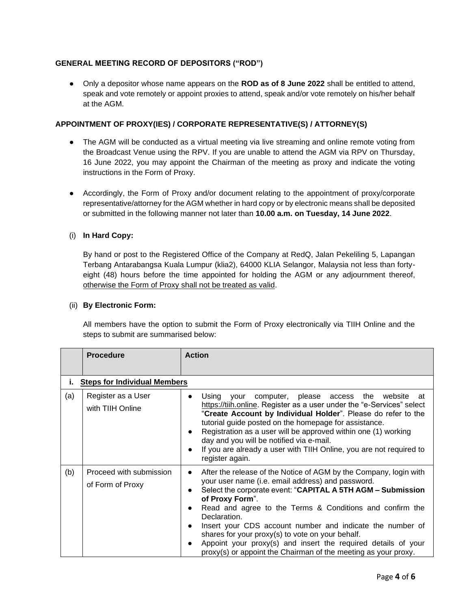### **GENERAL MEETING RECORD OF DEPOSITORS ("ROD")**

● Only a depositor whose name appears on the **ROD as of 8 June 2022** shall be entitled to attend, speak and vote remotely or appoint proxies to attend, speak and/or vote remotely on his/her behalf at the AGM.

### **APPOINTMENT OF PROXY(IES) / CORPORATE REPRESENTATIVE(S) / ATTORNEY(S)**

- The AGM will be conducted as a virtual meeting via live streaming and online remote voting from the Broadcast Venue using the RPV. If you are unable to attend the AGM via RPV on Thursday, 16 June 2022, you may appoint the Chairman of the meeting as proxy and indicate the voting instructions in the Form of Proxy.
- Accordingly, the Form of Proxy and/or document relating to the appointment of proxy/corporate representative/attorney for the AGM whether in hard copy or by electronic means shall be deposited or submitted in the following manner not later than **10.00 a.m. on Tuesday, 14 June 2022**.

### (i) **In Hard Copy:**

By hand or post to the Registered Office of the Company at RedQ, Jalan Pekeliling 5, Lapangan Terbang Antarabangsa Kuala Lumpur (klia2), 64000 KLIA Selangor, Malaysia not less than fortyeight (48) hours before the time appointed for holding the AGM or any adjournment thereof, otherwise the Form of Proxy shall not be treated as valid.

#### (ii) **By Electronic Form:**

All members have the option to submit the Form of Proxy electronically via TIIH Online and the steps to submit are summarised below:

|     | <b>Procedure</b>                            | <b>Action</b>                                                                                                                                                                                                                                                                                                                                                                                                                                                                                                                                                                   |  |  |  |  |
|-----|---------------------------------------------|---------------------------------------------------------------------------------------------------------------------------------------------------------------------------------------------------------------------------------------------------------------------------------------------------------------------------------------------------------------------------------------------------------------------------------------------------------------------------------------------------------------------------------------------------------------------------------|--|--|--|--|
|     |                                             |                                                                                                                                                                                                                                                                                                                                                                                                                                                                                                                                                                                 |  |  |  |  |
| i.  | <b>Steps for Individual Members</b>         |                                                                                                                                                                                                                                                                                                                                                                                                                                                                                                                                                                                 |  |  |  |  |
| (a) | Register as a User<br>with TIIH Online      | Using your computer, please access the website at<br>$\bullet$<br>https://tiih.online. Register as a user under the "e-Services" select<br>"Create Account by Individual Holder". Please do refer to the<br>tutorial guide posted on the homepage for assistance.<br>Registration as a user will be approved within one (1) working<br>day and you will be notified via e-mail.<br>If you are already a user with TIIH Online, you are not required to<br>register again.                                                                                                       |  |  |  |  |
| (b) | Proceed with submission<br>of Form of Proxy | After the release of the Notice of AGM by the Company, login with<br>$\bullet$<br>your user name (i.e. email address) and password.<br>Select the corporate event: "CAPITAL A 5TH AGM - Submission<br>of Proxy Form".<br>Read and agree to the Terms & Conditions and confirm the<br>$\bullet$<br>Declaration.<br>Insert your CDS account number and indicate the number of<br>$\bullet$<br>shares for your proxy(s) to vote on your behalf.<br>Appoint your proxy(s) and insert the required details of your<br>proxy(s) or appoint the Chairman of the meeting as your proxy. |  |  |  |  |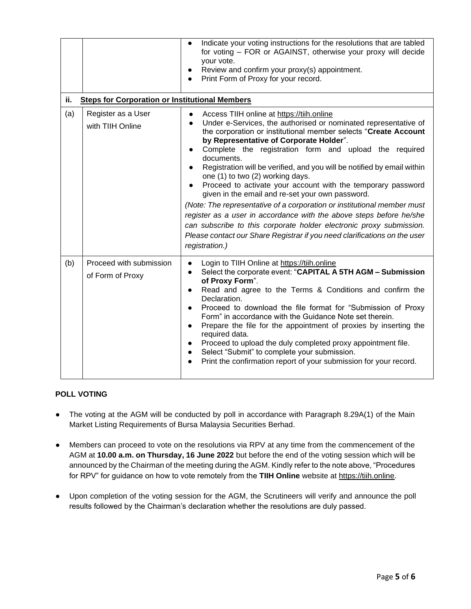|     |                                                       | Indicate your voting instructions for the resolutions that are tabled<br>$\bullet$<br>for voting - FOR or AGAINST, otherwise your proxy will decide<br>your vote.<br>Review and confirm your proxy(s) appointment.<br>Print Form of Proxy for your record.                                                                                                                                                                                                                                                                                                                                                                                                                                                                                                                                                                                                                                                                     |  |  |  |  |
|-----|-------------------------------------------------------|--------------------------------------------------------------------------------------------------------------------------------------------------------------------------------------------------------------------------------------------------------------------------------------------------------------------------------------------------------------------------------------------------------------------------------------------------------------------------------------------------------------------------------------------------------------------------------------------------------------------------------------------------------------------------------------------------------------------------------------------------------------------------------------------------------------------------------------------------------------------------------------------------------------------------------|--|--|--|--|
| ii. | <b>Steps for Corporation or Institutional Members</b> |                                                                                                                                                                                                                                                                                                                                                                                                                                                                                                                                                                                                                                                                                                                                                                                                                                                                                                                                |  |  |  |  |
| (a) | Register as a User<br>with TIIH Online                | Access TIIH online at https://tiih.online<br>$\bullet$<br>Under e-Services, the authorised or nominated representative of<br>$\bullet$<br>the corporation or institutional member selects "Create Account<br>by Representative of Corporate Holder".<br>Complete the registration form and upload the required<br>$\bullet$<br>documents.<br>Registration will be verified, and you will be notified by email within<br>$\bullet$<br>one (1) to two (2) working days.<br>Proceed to activate your account with the temporary password<br>$\bullet$<br>given in the email and re-set your own password.<br>(Note: The representative of a corporation or institutional member must<br>register as a user in accordance with the above steps before he/she<br>can subscribe to this corporate holder electronic proxy submission.<br>Please contact our Share Registrar if you need clarifications on the user<br>registration.) |  |  |  |  |
| (b) | Proceed with submission<br>of Form of Proxy           | Login to TIIH Online at https://tiih.online<br>$\bullet$<br>Select the corporate event: "CAPITAL A 5TH AGM - Submission<br>$\bullet$<br>of Proxy Form".<br>Read and agree to the Terms & Conditions and confirm the<br>$\bullet$<br>Declaration.<br>Proceed to download the file format for "Submission of Proxy<br>$\bullet$<br>Form" in accordance with the Guidance Note set therein.<br>Prepare the file for the appointment of proxies by inserting the<br>$\bullet$<br>required data.<br>Proceed to upload the duly completed proxy appointment file.<br>$\bullet$<br>Select "Submit" to complete your submission.<br>$\bullet$<br>Print the confirmation report of your submission for your record.<br>$\bullet$                                                                                                                                                                                                        |  |  |  |  |

### **POLL VOTING**

- The voting at the AGM will be conducted by poll in accordance with Paragraph 8.29A(1) of the Main Market Listing Requirements of Bursa Malaysia Securities Berhad.
- Members can proceed to vote on the resolutions via RPV at any time from the commencement of the AGM at **10.00 a.m. on Thursday, 16 June 2022** but before the end of the voting session which will be announced by the Chairman of the meeting during the AGM. Kindly refer to the note above, "Procedures for RPV" for guidance on how to vote remotely from the **TIIH Online** website at [https://tiih.online.](https://tiih.online/)
- Upon completion of the voting session for the AGM, the Scrutineers will verify and announce the poll results followed by the Chairman's declaration whether the resolutions are duly passed.